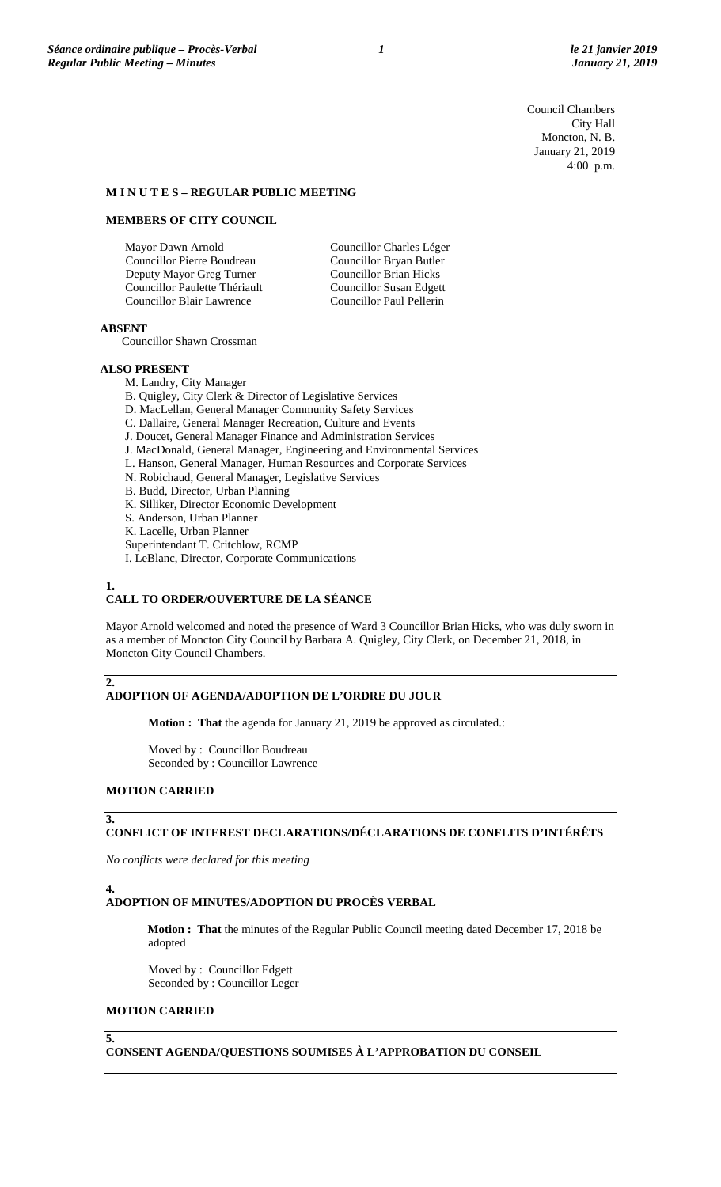Council Chambers City Hall Moncton, N. B. January 21, 2019 4:00 p.m.

## **M I N U T E S – REGULAR PUBLIC MEETING**

### **MEMBERS OF CITY COUNCIL**

| Mayor Dawn Arnold                | Councillor Charles Léger       |
|----------------------------------|--------------------------------|
| Councillor Pierre Boudreau       | Councillor Bryan Butler        |
| Deputy Mayor Greg Turner         | <b>Councillor Brian Hicks</b>  |
| Councillor Paulette Thériault    | <b>Councillor Susan Edgett</b> |
| <b>Councillor Blair Lawrence</b> | Councillor Paul Pellerin       |

#### **ABSENT**

Councillor Shawn Crossman

### **ALSO PRESENT**

M. Landry, City Manager

B. Quigley, City Clerk & Director of Legislative Services

- D. MacLellan, General Manager Community Safety Services
- C. Dallaire, General Manager Recreation, Culture and Events
- J. Doucet, General Manager Finance and Administration Services
- J. MacDonald, General Manager, Engineering and Environmental Services
- L. Hanson, General Manager, Human Resources and Corporate Services
- N. Robichaud, General Manager, Legislative Services
- B. Budd, Director, Urban Planning
- K. Silliker, Director Economic Development
- S. Anderson, Urban Planner
- K. Lacelle, Urban Planner
- Superintendant T. Critchlow, RCMP
- I. LeBlanc, Director, Corporate Communications

#### **1.**

**2.**

# **CALL TO ORDER/OUVERTURE DE LA SÉANCE**

Mayor Arnold welcomed and noted the presence of Ward 3 Councillor Brian Hicks, who was duly sworn in as a member of Moncton City Council by Barbara A. Quigley, City Clerk, on December 21, 2018, in Moncton City Council Chambers.

# **ADOPTION OF AGENDA/ADOPTION DE L'ORDRE DU JOUR**

**Motion : That** the agenda for January 21, 2019 be approved as circulated.:

Moved by : Councillor Boudreau Seconded by : Councillor Lawrence

#### **MOTION CARRIED**

#### **3.**

**4.**

# **CONFLICT OF INTEREST DECLARATIONS/DÉCLARATIONS DE CONFLITS D'INTÉRÊTS**

*No conflicts were declared for this meeting*

## **ADOPTION OF MINUTES/ADOPTION DU PROCÈS VERBAL**

**Motion : That** the minutes of the Regular Public Council meeting dated December 17, 2018 be adopted

Moved by : Councillor Edgett Seconded by : Councillor Leger

#### **MOTION CARRIED**

**5.**

**CONSENT AGENDA/QUESTIONS SOUMISES À L'APPROBATION DU CONSEIL**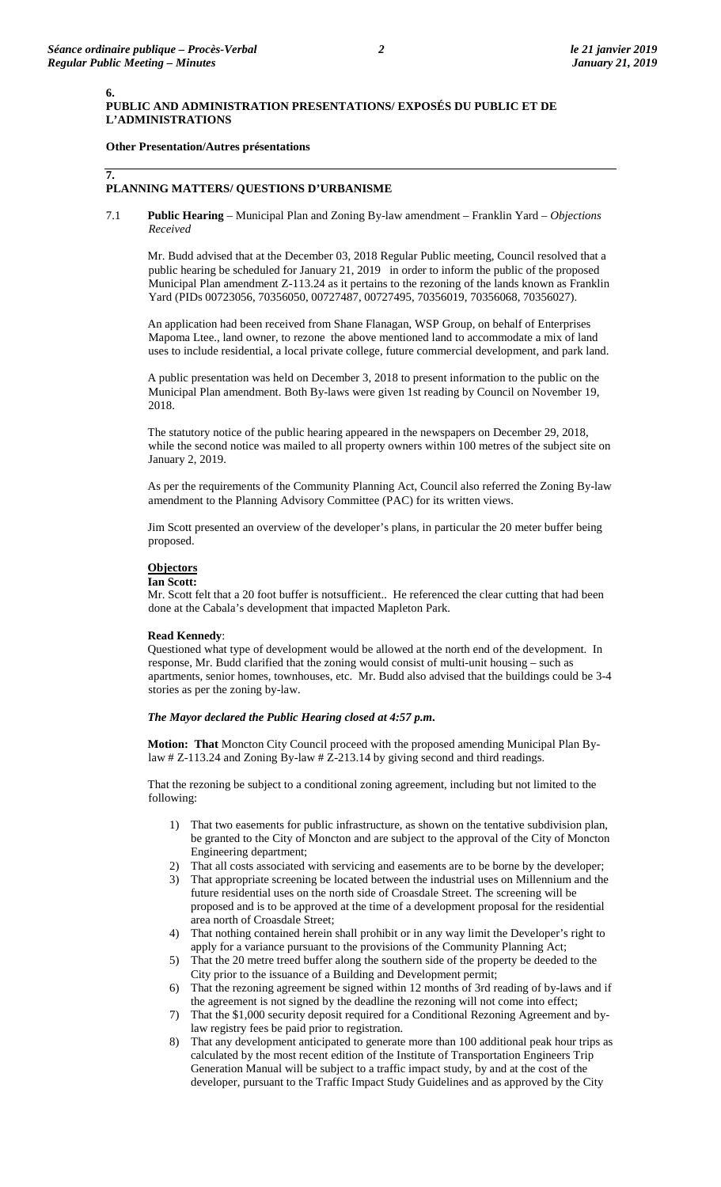**6.**

**7.**

# **PUBLIC AND ADMINISTRATION PRESENTATIONS/ EXPOSÉS DU PUBLIC ET DE L'ADMINISTRATIONS**

# **Other Presentation/Autres présentations**

# **PLANNING MATTERS/ QUESTIONS D'URBANISME**

7.1 **Public Hearing** – Municipal Plan and Zoning By-law amendment – Franklin Yard – *Objections Received*

Mr. Budd advised that at the December 03, 2018 Regular Public meeting, Council resolved that a public hearing be scheduled for January 21, 2019 in order to inform the public of the proposed Municipal Plan amendment Z-113.24 as it pertains to the rezoning of the lands known as Franklin Yard (PIDs 00723056, 70356050, 00727487, 00727495, 70356019, 70356068, 70356027).

An application had been received from Shane Flanagan, WSP Group, on behalf of Enterprises Mapoma Ltee., land owner, to rezone the above mentioned land to accommodate a mix of land uses to include residential, a local private college, future commercial development, and park land.

A public presentation was held on December 3, 2018 to present information to the public on the Municipal Plan amendment. Both By-laws were given 1st reading by Council on November 19, 2018.

The statutory notice of the public hearing appeared in the newspapers on December 29, 2018, while the second notice was mailed to all property owners within 100 metres of the subject site on January 2, 2019.

As per the requirements of the Community Planning Act, Council also referred the Zoning By-law amendment to the Planning Advisory Committee (PAC) for its written views.

Jim Scott presented an overview of the developer's plans, in particular the 20 meter buffer being proposed.

# **Objectors**

## **Ian Scott:**

Mr. Scott felt that a 20 foot buffer is notsufficient.. He referenced the clear cutting that had been done at the Cabala's development that impacted Mapleton Park.

#### **Read Kennedy**:

Questioned what type of development would be allowed at the north end of the development. In response, Mr. Budd clarified that the zoning would consist of multi-unit housing – such as apartments, senior homes, townhouses, etc. Mr. Budd also advised that the buildings could be 3-4 stories as per the zoning by-law.

#### *The Mayor declared the Public Hearing closed at 4:57 p.m***.**

**Motion: That** Moncton City Council proceed with the proposed amending Municipal Plan Bylaw # Z-113.24 and Zoning By-law # Z-213.14 by giving second and third readings.

That the rezoning be subject to a conditional zoning agreement, including but not limited to the following:

- 1) That two easements for public infrastructure, as shown on the tentative subdivision plan, be granted to the City of Moncton and are subject to the approval of the City of Moncton Engineering department;
- 2) That all costs associated with servicing and easements are to be borne by the developer;
- 3) That appropriate screening be located between the industrial uses on Millennium and the future residential uses on the north side of Croasdale Street. The screening will be proposed and is to be approved at the time of a development proposal for the residential area north of Croasdale Street;
- 4) That nothing contained herein shall prohibit or in any way limit the Developer's right to apply for a variance pursuant to the provisions of the Community Planning Act;
- 5) That the 20 metre treed buffer along the southern side of the property be deeded to the City prior to the issuance of a Building and Development permit;
- 6) That the rezoning agreement be signed within 12 months of 3rd reading of by-laws and if the agreement is not signed by the deadline the rezoning will not come into effect;
- 7) That the \$1,000 security deposit required for a Conditional Rezoning Agreement and bylaw registry fees be paid prior to registration.
- 8) That any development anticipated to generate more than 100 additional peak hour trips as calculated by the most recent edition of the Institute of Transportation Engineers Trip Generation Manual will be subject to a traffic impact study, by and at the cost of the developer, pursuant to the Traffic Impact Study Guidelines and as approved by the City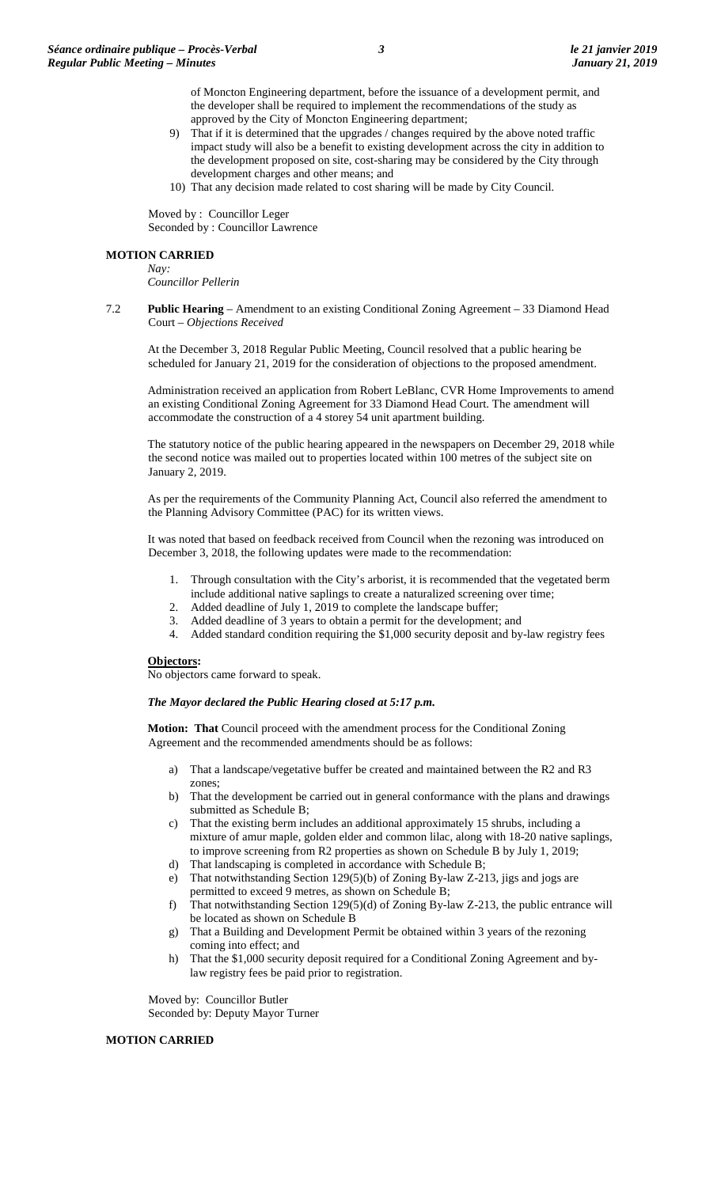of Moncton Engineering department, before the issuance of a development permit, and the developer shall be required to implement the recommendations of the study as approved by the City of Moncton Engineering department;

- 9) That if it is determined that the upgrades / changes required by the above noted traffic impact study will also be a benefit to existing development across the city in addition to the development proposed on site, cost-sharing may be considered by the City through development charges and other means; and
- 10) That any decision made related to cost sharing will be made by City Council.

Moved by : Councillor Leger Seconded by : Councillor Lawrence

#### **MOTION CARRIED**

*Nay: Councillor Pellerin*

7.2 **Public Hearing** – Amendment to an existing Conditional Zoning Agreement – 33 Diamond Head Court – *Objections Received*

At the December 3, 2018 Regular Public Meeting, Council resolved that a public hearing be scheduled for January 21, 2019 for the consideration of objections to the proposed amendment.

Administration received an application from Robert LeBlanc, CVR Home Improvements to amend an existing Conditional Zoning Agreement for 33 Diamond Head Court. The amendment will accommodate the construction of a 4 storey 54 unit apartment building.

The statutory notice of the public hearing appeared in the newspapers on December 29, 2018 while the second notice was mailed out to properties located within 100 metres of the subject site on January 2, 2019.

As per the requirements of the Community Planning Act, Council also referred the amendment to the Planning Advisory Committee (PAC) for its written views.

It was noted that based on feedback received from Council when the rezoning was introduced on December 3, 2018, the following updates were made to the recommendation:

- 1. Through consultation with the City's arborist, it is recommended that the vegetated berm
- include additional native saplings to create a naturalized screening over time;
- 2. Added deadline of July 1, 2019 to complete the landscape buffer;
- 3. Added deadline of 3 years to obtain a permit for the development; and
- 4. Added standard condition requiring the \$1,000 security deposit and by-law registry fees

## **Objectors:**

No objectors came forward to speak.

#### *The Mayor declared the Public Hearing closed at 5:17 p.m.*

**Motion: That** Council proceed with the amendment process for the Conditional Zoning Agreement and the recommended amendments should be as follows:

- a) That a landscape/vegetative buffer be created and maintained between the R2 and R3 zones;
- b) That the development be carried out in general conformance with the plans and drawings submitted as Schedule B;
- c) That the existing berm includes an additional approximately 15 shrubs, including a mixture of amur maple, golden elder and common lilac, along with 18-20 native saplings, to improve screening from R2 properties as shown on Schedule B by July 1, 2019;
- d) That landscaping is completed in accordance with Schedule B;
- e) That notwithstanding Section 129(5)(b) of Zoning By-law Z-213, jigs and jogs are permitted to exceed 9 metres, as shown on Schedule B;
- f) That notwithstanding Section 129(5)(d) of Zoning By-law Z-213, the public entrance will be located as shown on Schedule B
- g) That a Building and Development Permit be obtained within 3 years of the rezoning coming into effect; and
- h) That the \$1,000 security deposit required for a Conditional Zoning Agreement and bylaw registry fees be paid prior to registration.

Moved by: Councillor Butler Seconded by: Deputy Mayor Turner

## **MOTION CARRIED**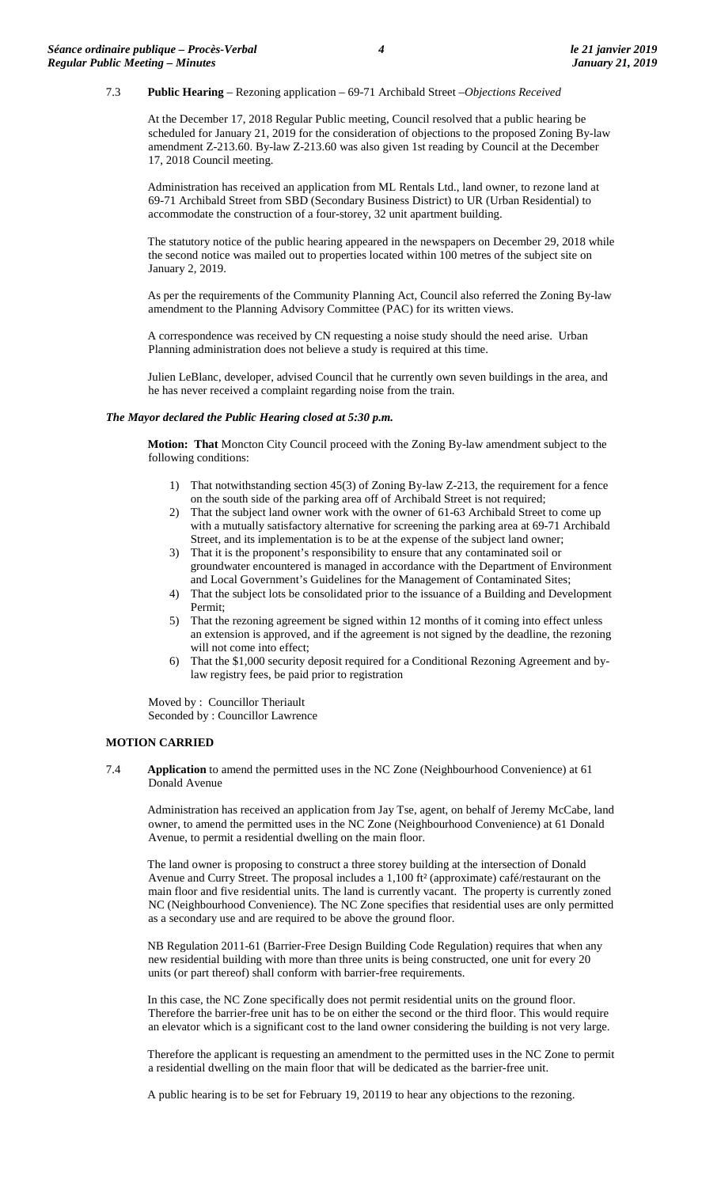## 7.3 **Public Hearing** – Rezoning application – 69-71 Archibald Street –*Objections Received*

At the December 17, 2018 Regular Public meeting, Council resolved that a public hearing be scheduled for January 21, 2019 for the consideration of objections to the proposed Zoning By-law amendment Z-213.60. By-law Z-213.60 was also given 1st reading by Council at the December 17, 2018 Council meeting.

Administration has received an application from ML Rentals Ltd., land owner, to rezone land at 69-71 Archibald Street from SBD (Secondary Business District) to UR (Urban Residential) to accommodate the construction of a four-storey, 32 unit apartment building.

The statutory notice of the public hearing appeared in the newspapers on December 29, 2018 while the second notice was mailed out to properties located within 100 metres of the subject site on January 2, 2019.

As per the requirements of the Community Planning Act, Council also referred the Zoning By-law amendment to the Planning Advisory Committee (PAC) for its written views.

A correspondence was received by CN requesting a noise study should the need arise. Urban Planning administration does not believe a study is required at this time.

Julien LeBlanc, developer, advised Council that he currently own seven buildings in the area, and he has never received a complaint regarding noise from the train.

#### *The Mayor declared the Public Hearing closed at 5:30 p.m.*

**Motion: That** Moncton City Council proceed with the Zoning By-law amendment subject to the following conditions:

- 1) That notwithstanding section 45(3) of Zoning By-law Z-213, the requirement for a fence on the south side of the parking area off of Archibald Street is not required;
- 2) That the subject land owner work with the owner of 61-63 Archibald Street to come up with a mutually satisfactory alternative for screening the parking area at 69-71 Archibald Street, and its implementation is to be at the expense of the subject land owner;
- 3) That it is the proponent's responsibility to ensure that any contaminated soil or groundwater encountered is managed in accordance with the Department of Environment and Local Government's Guidelines for the Management of Contaminated Sites;
- 4) That the subject lots be consolidated prior to the issuance of a Building and Development Permit;
- 5) That the rezoning agreement be signed within 12 months of it coming into effect unless an extension is approved, and if the agreement is not signed by the deadline, the rezoning will not come into effect;
- 6) That the \$1,000 security deposit required for a Conditional Rezoning Agreement and bylaw registry fees, be paid prior to registration

Moved by : Councillor Theriault Seconded by : Councillor Lawrence

#### **MOTION CARRIED**

7.4 **Application** to amend the permitted uses in the NC Zone (Neighbourhood Convenience) at 61 Donald Avenue

Administration has received an application from Jay Tse, agent, on behalf of Jeremy McCabe, land owner, to amend the permitted uses in the NC Zone (Neighbourhood Convenience) at 61 Donald Avenue, to permit a residential dwelling on the main floor.

The land owner is proposing to construct a three storey building at the intersection of Donald Avenue and Curry Street. The proposal includes a 1,100 ft² (approximate) café/restaurant on the main floor and five residential units. The land is currently vacant. The property is currently zoned NC (Neighbourhood Convenience). The NC Zone specifies that residential uses are only permitted as a secondary use and are required to be above the ground floor.

NB Regulation 2011-61 (Barrier-Free Design Building Code Regulation) requires that when any new residential building with more than three units is being constructed, one unit for every 20 units (or part thereof) shall conform with barrier-free requirements.

In this case, the NC Zone specifically does not permit residential units on the ground floor. Therefore the barrier-free unit has to be on either the second or the third floor. This would require an elevator which is a significant cost to the land owner considering the building is not very large.

Therefore the applicant is requesting an amendment to the permitted uses in the NC Zone to permit a residential dwelling on the main floor that will be dedicated as the barrier-free unit.

A public hearing is to be set for February 19, 20119 to hear any objections to the rezoning.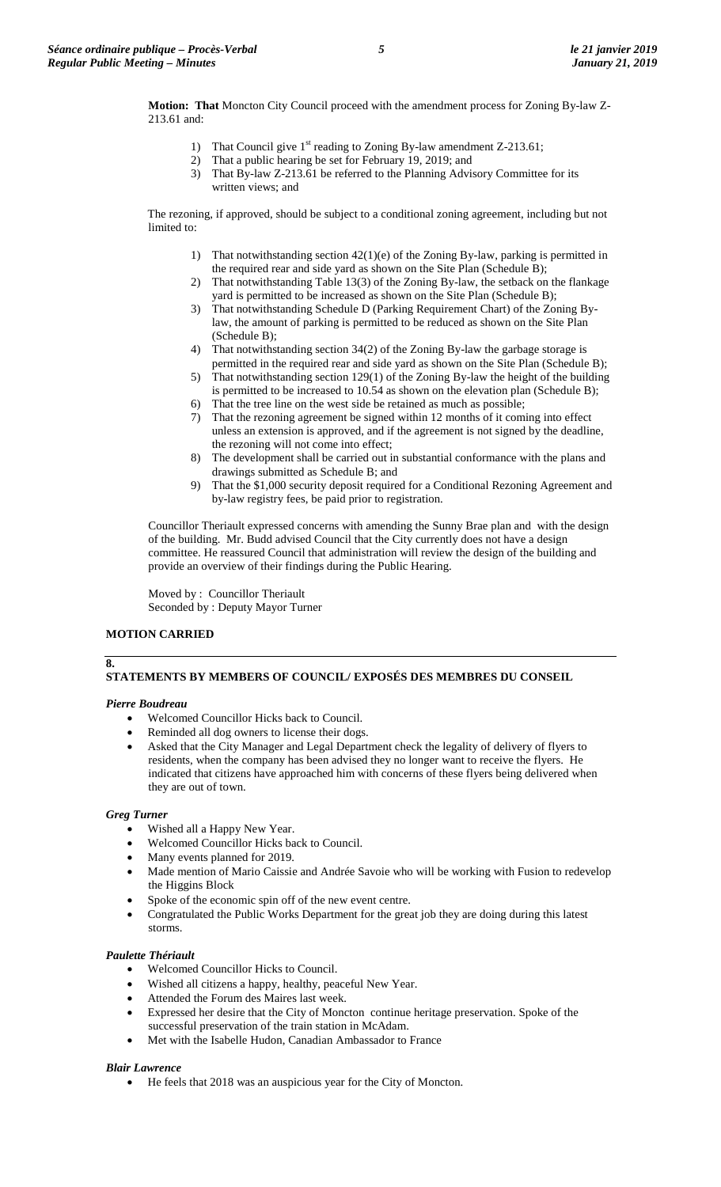**Motion: That** Moncton City Council proceed with the amendment process for Zoning By-law Z-213.61 and:

- 1) That Council give  $1<sup>st</sup>$  reading to Zoning By-law amendment Z-213.61;
- 2) That a public hearing be set for February 19, 2019; and
- 3) That By-law Z-213.61 be referred to the Planning Advisory Committee for its written views; and

The rezoning, if approved, should be subject to a conditional zoning agreement, including but not limited to:

- 1) That notwithstanding section 42(1)(e) of the Zoning By-law, parking is permitted in the required rear and side yard as shown on the Site Plan (Schedule B);
- 2) That notwithstanding Table 13(3) of the Zoning By-law, the setback on the flankage yard is permitted to be increased as shown on the Site Plan (Schedule B);
- 3) That notwithstanding Schedule D (Parking Requirement Chart) of the Zoning Bylaw, the amount of parking is permitted to be reduced as shown on the Site Plan (Schedule B);
- 4) That notwithstanding section 34(2) of the Zoning By-law the garbage storage is permitted in the required rear and side yard as shown on the Site Plan (Schedule B);
- 5) That notwithstanding section 129(1) of the Zoning By-law the height of the building is permitted to be increased to 10.54 as shown on the elevation plan (Schedule B);
- 6) That the tree line on the west side be retained as much as possible;
- 7) That the rezoning agreement be signed within 12 months of it coming into effect unless an extension is approved, and if the agreement is not signed by the deadline, the rezoning will not come into effect;
- 8) The development shall be carried out in substantial conformance with the plans and drawings submitted as Schedule B; and
- 9) That the \$1,000 security deposit required for a Conditional Rezoning Agreement and by-law registry fees, be paid prior to registration.

Councillor Theriault expressed concerns with amending the Sunny Brae plan and with the design of the building. Mr. Budd advised Council that the City currently does not have a design committee. He reassured Council that administration will review the design of the building and provide an overview of their findings during the Public Hearing.

Moved by : Councillor Theriault Seconded by : Deputy Mayor Turner

# **MOTION CARRIED**

# **STATEMENTS BY MEMBERS OF COUNCIL/ EXPOSÉS DES MEMBRES DU CONSEIL**

# *Pierre Boudreau*

**8.**

- Welcomed Councillor Hicks back to Council.
- Reminded all dog owners to license their dogs.
- Asked that the City Manager and Legal Department check the legality of delivery of flyers to residents, when the company has been advised they no longer want to receive the flyers. He indicated that citizens have approached him with concerns of these flyers being delivered when they are out of town.

## *Greg Turner*

- Wished all a Happy New Year.
- Welcomed Councillor Hicks back to Council.
- Many events planned for 2019.
- Made mention of Mario Caissie and Andrée Savoie who will be working with Fusion to redevelop the Higgins Block
- Spoke of the economic spin off of the new event centre.
- Congratulated the Public Works Department for the great job they are doing during this latest storms.

# *Paulette Thériault*

- Welcomed Councillor Hicks to Council.
- Wished all citizens a happy, healthy, peaceful New Year.
- Attended the Forum des Maires last week.
- Expressed her desire that the City of Moncton continue heritage preservation. Spoke of the successful preservation of the train station in McAdam.
- Met with the Isabelle Hudon, Canadian Ambassador to France

## *Blair Lawrence*

• He feels that 2018 was an auspicious year for the City of Moncton.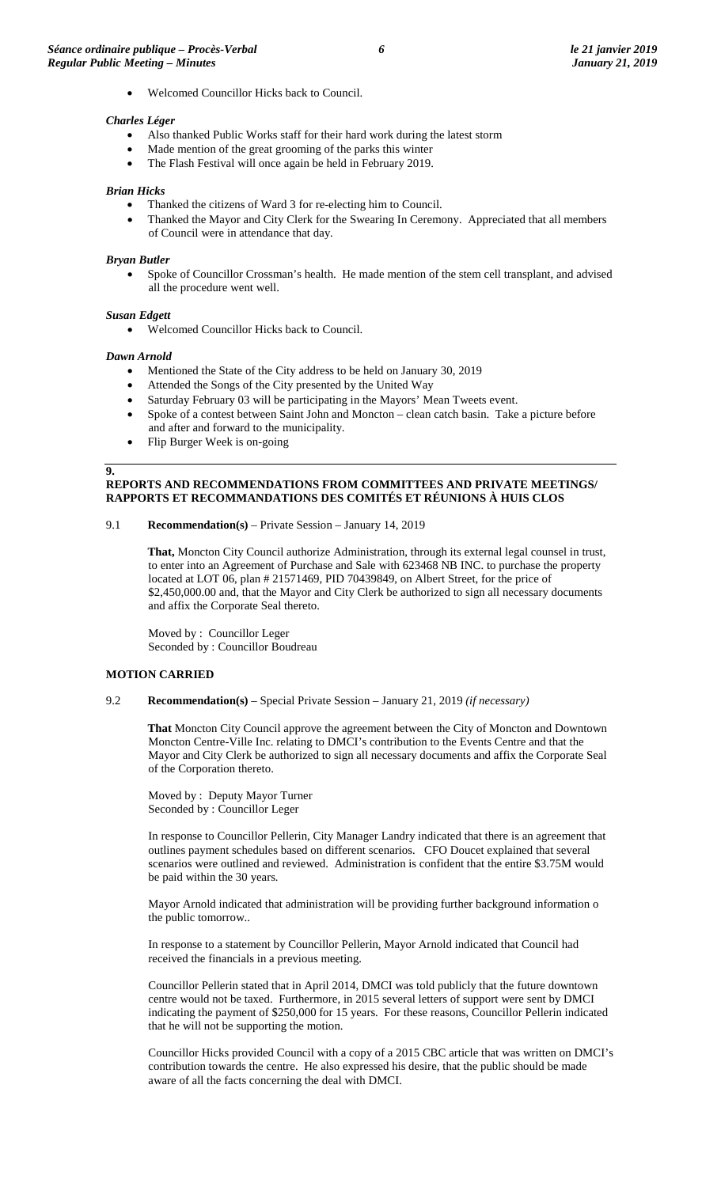• Welcomed Councillor Hicks back to Council.

### *Charles Léger*

- Also thanked Public Works staff for their hard work during the latest storm
- Made mention of the great grooming of the parks this winter
- The Flash Festival will once again be held in February 2019.

#### *Brian Hicks*

- Thanked the citizens of Ward 3 for re-electing him to Council.
- Thanked the Mayor and City Clerk for the Swearing In Ceremony. Appreciated that all members of Council were in attendance that day.

#### *Bryan Butler*

• Spoke of Councillor Crossman's health. He made mention of the stem cell transplant, and advised all the procedure went well.

#### *Susan Edgett*

• Welcomed Councillor Hicks back to Council.

#### *Dawn Arnold*

- Mentioned the State of the City address to be held on January 30, 2019
- Attended the Songs of the City presented by the United Way
- Saturday February 03 will be participating in the Mayors' Mean Tweets event.
- Spoke of a contest between Saint John and Moncton clean catch basin. Take a picture before and after and forward to the municipality.
- Flip Burger Week is on-going

#### **9.**

## **REPORTS AND RECOMMENDATIONS FROM COMMITTEES AND PRIVATE MEETINGS/ RAPPORTS ET RECOMMANDATIONS DES COMITÉS ET RÉUNIONS À HUIS CLOS**

9.1 **Recommendation(s)** – Private Session – January 14, 2019

**That,** Moncton City Council authorize Administration, through its external legal counsel in trust, to enter into an Agreement of Purchase and Sale with 623468 NB INC. to purchase the property located at LOT 06, plan # 21571469, PID 70439849, on Albert Street, for the price of \$2,450,000.00 and, that the Mayor and City Clerk be authorized to sign all necessary documents and affix the Corporate Seal thereto.

Moved by : Councillor Leger Seconded by : Councillor Boudreau

#### **MOTION CARRIED**

## 9.2 **Recommendation(s)** – Special Private Session – January 21, 2019 *(if necessary)*

**That** Moncton City Council approve the agreement between the City of Moncton and Downtown Moncton Centre-Ville Inc. relating to DMCI's contribution to the Events Centre and that the Mayor and City Clerk be authorized to sign all necessary documents and affix the Corporate Seal of the Corporation thereto.

Moved by : Deputy Mayor Turner Seconded by : Councillor Leger

In response to Councillor Pellerin, City Manager Landry indicated that there is an agreement that outlines payment schedules based on different scenarios. CFO Doucet explained that several scenarios were outlined and reviewed. Administration is confident that the entire \$3.75M would be paid within the 30 years.

Mayor Arnold indicated that administration will be providing further background information o the public tomorrow..

In response to a statement by Councillor Pellerin, Mayor Arnold indicated that Council had received the financials in a previous meeting.

Councillor Pellerin stated that in April 2014, DMCI was told publicly that the future downtown centre would not be taxed. Furthermore, in 2015 several letters of support were sent by DMCI indicating the payment of \$250,000 for 15 years. For these reasons, Councillor Pellerin indicated that he will not be supporting the motion.

Councillor Hicks provided Council with a copy of a 2015 CBC article that was written on DMCI's contribution towards the centre. He also expressed his desire, that the public should be made aware of all the facts concerning the deal with DMCI.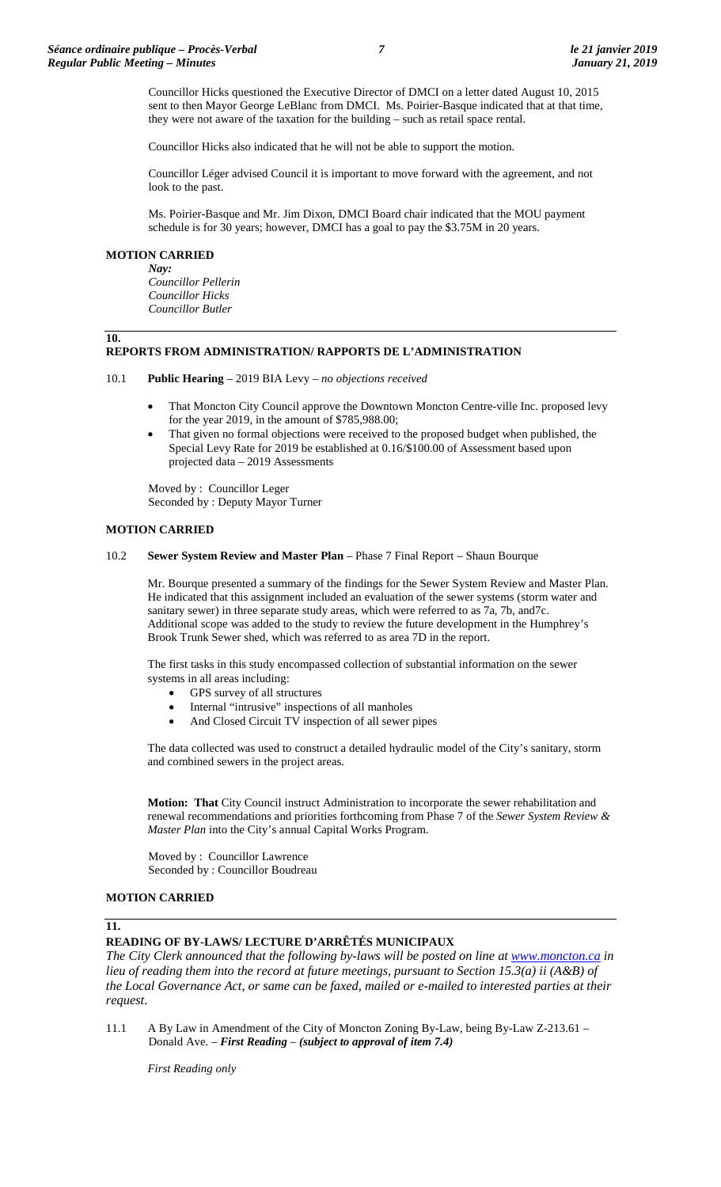Councillor Hicks questioned the Executive Director of DMCI on a letter dated August 10, 2015 sent to then Mayor George LeBlanc from DMCI. Ms. Poirier-Basque indicated that at that time, they were not aware of the taxation for the building – such as retail space rental.

Councillor Hicks also indicated that he will not be able to support the motion.

Councillor Léger advised Council it is important to move forward with the agreement, and not look to the past.

Ms. Poirier-Basque and Mr. Jim Dixon, DMCI Board chair indicated that the MOU payment schedule is for 30 years; however, DMCI has a goal to pay the \$3.75M in 20 years.

## **MOTION CARRIED**

**10.**

*Nay: Councillor Pellerin Councillor Hicks Councillor Butler*

# **REPORTS FROM ADMINISTRATION/ RAPPORTS DE L'ADMINISTRATION**

- 10.1 **Public Hearing** 2019 BIA Levy *no objections received*
	- That Moncton City Council approve the Downtown Moncton Centre-ville Inc. proposed levy for the year 2019, in the amount of \$785,988.00;
	- That given no formal objections were received to the proposed budget when published, the Special Levy Rate for 2019 be established at 0.16/\$100.00 of Assessment based upon projected data – 2019 Assessments

Moved by : Councillor Leger Seconded by : Deputy Mayor Turner

## **MOTION CARRIED**

### 10.2 **Sewer System Review and Master Plan** – Phase 7 Final Report – Shaun Bourque

Mr. Bourque presented a summary of the findings for the Sewer System Review and Master Plan. He indicated that this assignment included an evaluation of the sewer systems (storm water and sanitary sewer) in three separate study areas, which were referred to as 7a, 7b, and7c. Additional scope was added to the study to review the future development in the Humphrey's Brook Trunk Sewer shed, which was referred to as area 7D in the report.

The first tasks in this study encompassed collection of substantial information on the sewer systems in all areas including:

- GPS survey of all structures
- Internal "intrusive" inspections of all manholes
- And Closed Circuit TV inspection of all sewer pipes

The data collected was used to construct a detailed hydraulic model of the City's sanitary, storm and combined sewers in the project areas.

**Motion: That** City Council instruct Administration to incorporate the sewer rehabilitation and renewal recommendations and priorities forthcoming from Phase 7 of the *Sewer System Review & Master Plan* into the City's annual Capital Works Program.

Moved by : Councillor Lawrence Seconded by : Councillor Boudreau

# **MOTION CARRIED**

# **11.**

# **READING OF BY-LAWS/ LECTURE D'ARRÊTÉS MUNICIPAUX**

*The City Clerk announced that the following by-laws will be posted on line at [www.moncton.ca](http://www.moncton.ca/) in lieu of reading them into the record at future meetings, pursuant to Section 15.3(a) ii (A&B) of the Local Governance Act, or same can be faxed, mailed or e-mailed to interested parties at their request*.

11.1 A By Law in Amendment of the City of Moncton Zoning By-Law, being By-Law Z-213.61 – Donald Ave. – *First Reading – (subject to approval of item 7.4)*

*First Reading only*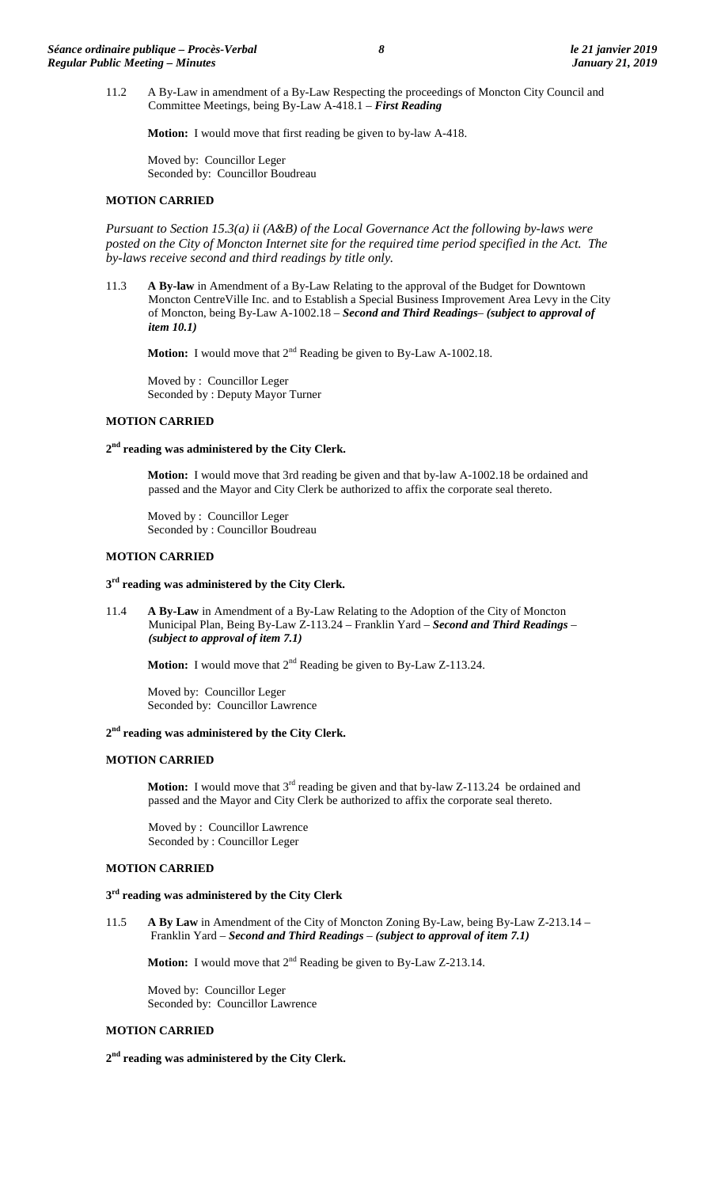11.2 A By-Law in amendment of a By-Law Respecting the proceedings of Moncton City Council and Committee Meetings, being By-Law A-418.1 – *First Reading*

**Motion:** I would move that first reading be given to by-law A-418.

Moved by: Councillor Leger Seconded by: Councillor Boudreau

## **MOTION CARRIED**

*Pursuant to Section 15.3(a) ii (A&B) of the Local Governance Act the following by-laws were*  posted on the City of Moncton Internet site for the required time period specified in the Act. The *by-laws receive second and third readings by title only.*

11.3 **A By-law** in Amendment of a By-Law Relating to the approval of the Budget for Downtown Moncton CentreVille Inc. and to Establish a Special Business Improvement Area Levy in the City of Moncton, being By-Law A-1002.18 – *Second and Third Readings– (subject to approval of item 10.1)*

**Motion:** I would move that  $2^{nd}$  Reading be given to By-Law A-1002.18.

Moved by : Councillor Leger Seconded by : Deputy Mayor Turner

# **MOTION CARRIED**

**2nd reading was administered by the City Clerk.**

**Motion:** I would move that 3rd reading be given and that by-law A-1002.18 be ordained and passed and the Mayor and City Clerk be authorized to affix the corporate seal thereto.

Moved by : Councillor Leger Seconded by : Councillor Boudreau

# **MOTION CARRIED**

### **3rd reading was administered by the City Clerk.**

11.4 **A By-Law** in Amendment of a By-Law Relating to the Adoption of the City of Moncton Municipal Plan, Being By-Law Z-113.24 – Franklin Yard – *Second and Third Readings – (subject to approval of item 7.1)*

**Motion:** I would move that 2<sup>nd</sup> Reading be given to By-Law Z-113.24.

Moved by: Councillor Leger Seconded by: Councillor Lawrence

### **2nd reading was administered by the City Clerk.**

## **MOTION CARRIED**

**Motion:** I would move that  $3<sup>rd</sup>$  reading be given and that by-law Z-113.24 be ordained and passed and the Mayor and City Clerk be authorized to affix the corporate seal thereto.

Moved by : Councillor Lawrence Seconded by : Councillor Leger

# **MOTION CARRIED**

# **3rd reading was administered by the City Clerk**

11.5 **A By Law** in Amendment of the City of Moncton Zoning By-Law, being By-Law Z-213.14 – Franklin Yard – *Second and Third Readings – (subject to approval of item 7.1)*

**Motion:** I would move that 2<sup>nd</sup> Reading be given to By-Law Z-213.14.

Moved by: Councillor Leger Seconded by: Councillor Lawrence

# **MOTION CARRIED**

**2nd reading was administered by the City Clerk.**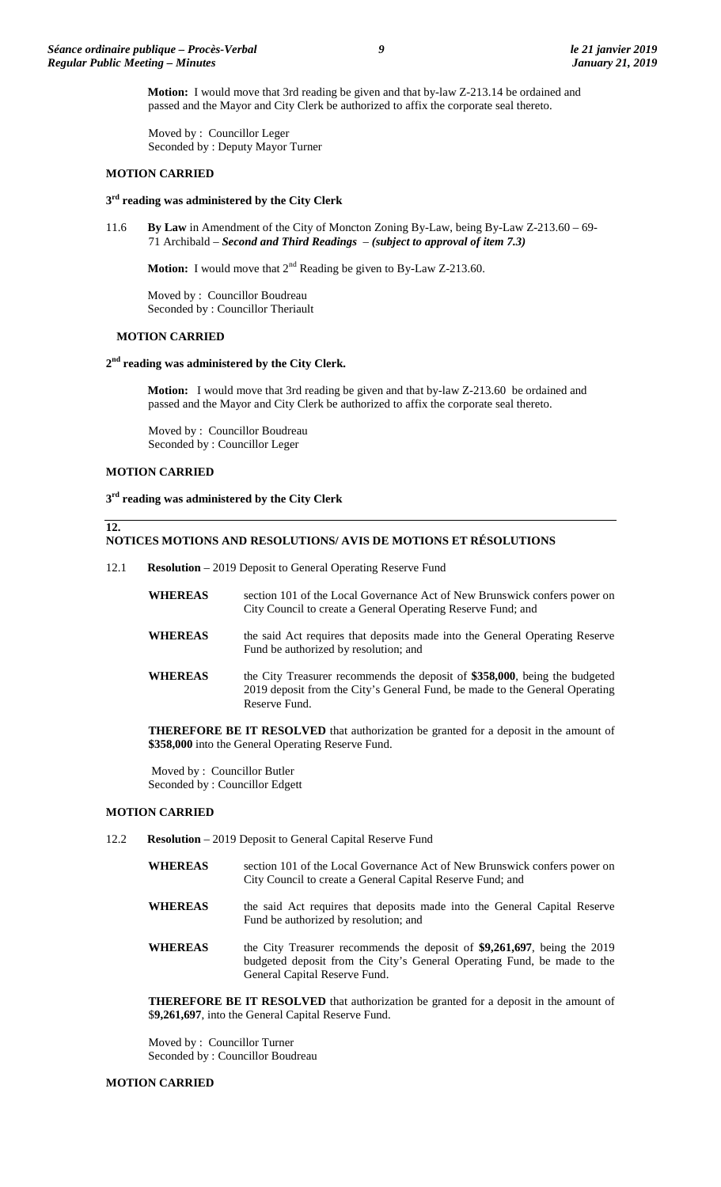**Motion:** I would move that 3rd reading be given and that by-law Z-213.14 be ordained and passed and the Mayor and City Clerk be authorized to affix the corporate seal thereto.

Moved by : Councillor Leger Seconded by : Deputy Mayor Turner

### **MOTION CARRIED**

## **3rd reading was administered by the City Clerk**

11.6 **By Law** in Amendment of the City of Moncton Zoning By-Law, being By-Law Z-213.60 – 69- 71 Archibald – *Second and Third Readings – (subject to approval of item 7.3)*

**Motion:** I would move that 2<sup>nd</sup> Reading be given to By-Law Z-213.60.

Moved by : Councillor Boudreau Seconded by : Councillor Theriault

#### **MOTION CARRIED**

#### **2nd reading was administered by the City Clerk.**

**Motion:** I would move that 3rd reading be given and that by-law Z-213.60 be ordained and passed and the Mayor and City Clerk be authorized to affix the corporate seal thereto.

Moved by : Councillor Boudreau Seconded by : Councillor Leger

## **MOTION CARRIED**

**12.**

**3rd reading was administered by the City Clerk**

## **NOTICES MOTIONS AND RESOLUTIONS/ AVIS DE MOTIONS ET RÉSOLUTIONS**

- 12.1 **Resolution** 2019 Deposit to General Operating Reserve Fund
	- **WHEREAS** section 101 of the Local Governance Act of New Brunswick confers power on City Council to create a General Operating Reserve Fund; and
	- **WHEREAS** the said Act requires that deposits made into the General Operating Reserve Fund be authorized by resolution; and
	- **WHEREAS** the City Treasurer recommends the deposit of **\$358,000**, being the budgeted 2019 deposit from the City's General Fund, be made to the General Operating Reserve Fund.

**THEREFORE BE IT RESOLVED** that authorization be granted for a deposit in the amount of **\$358,000** into the General Operating Reserve Fund.

Moved by : Councillor Butler Seconded by : Councillor Edgett

## **MOTION CARRIED**

- 12.2 **Resolution** 2019 Deposit to General Capital Reserve Fund
	- **WHEREAS** section 101 of the Local Governance Act of New Brunswick confers power on City Council to create a General Capital Reserve Fund; and
	- **WHEREAS** the said Act requires that deposits made into the General Capital Reserve Fund be authorized by resolution; and
	- **WHEREAS** the City Treasurer recommends the deposit of **\$9,261,697**, being the 2019 budgeted deposit from the City's General Operating Fund, be made to the General Capital Reserve Fund.

**THEREFORE BE IT RESOLVED** that authorization be granted for a deposit in the amount of \$**9,261,697**, into the General Capital Reserve Fund.

Moved by : Councillor Turner Seconded by : Councillor Boudreau

#### **MOTION CARRIED**